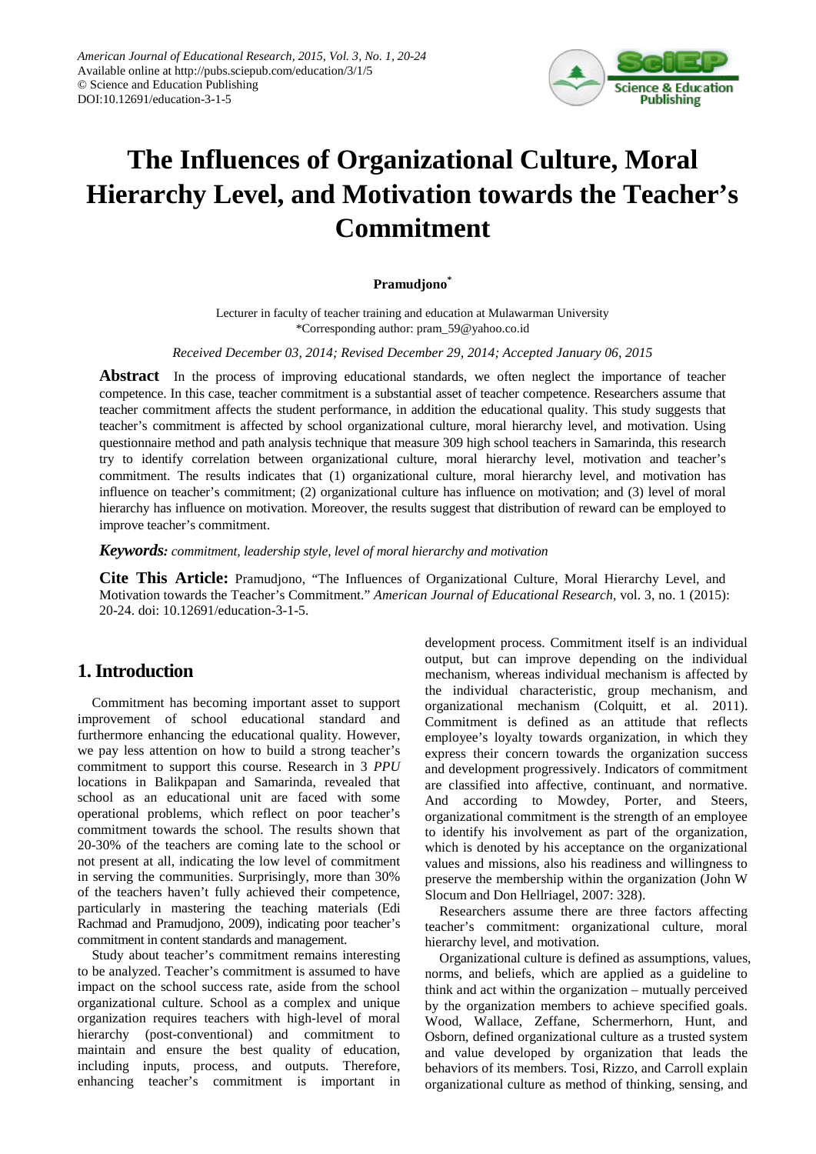

# **The Influences of Organizational Culture, Moral Hierarchy Level, and Motivation towards the Teacher's Commitment**

### **Pramudjono\***

Lecturer in faculty of teacher training and education at Mulawarman University \*Corresponding author: pram\_59@yahoo.co.id

*Received December 03, 2014; Revised December 29, 2014; Accepted January 06, 2015*

**Abstract** In the process of improving educational standards, we often neglect the importance of teacher competence. In this case, teacher commitment is a substantial asset of teacher competence. Researchers assume that teacher commitment affects the student performance, in addition the educational quality. This study suggests that teacher's commitment is affected by school organizational culture, moral hierarchy level, and motivation. Using questionnaire method and path analysis technique that measure 309 high school teachers in Samarinda, this research try to identify correlation between organizational culture, moral hierarchy level, motivation and teacher's commitment. The results indicates that (1) organizational culture, moral hierarchy level, and motivation has influence on teacher's commitment; (2) organizational culture has influence on motivation; and (3) level of moral hierarchy has influence on motivation. Moreover, the results suggest that distribution of reward can be employed to improve teacher's commitment.

*Keywords: commitment, leadership style, level of moral hierarchy and motivation*

**Cite This Article:** Pramudjono, "The Influences of Organizational Culture, Moral Hierarchy Level, and Motivation towards the Teacher's Commitment." *American Journal of Educational Research*, vol. 3, no. 1 (2015): 20-24. doi: 10.12691/education-3-1-5.

# **1. Introduction**

Commitment has becoming important asset to support improvement of school educational standard and furthermore enhancing the educational quality. However, we pay less attention on how to build a strong teacher's commitment to support this course. Research in 3 *PPU*  locations in Balikpapan and Samarinda, revealed that school as an educational unit are faced with some operational problems, which reflect on poor teacher's commitment towards the school. The results shown that 20-30% of the teachers are coming late to the school or not present at all, indicating the low level of commitment in serving the communities. Surprisingly, more than 30% of the teachers haven't fully achieved their competence, particularly in mastering the teaching materials (Edi Rachmad and Pramudjono, 2009), indicating poor teacher's commitment in content standards and management.

Study about teacher's commitment remains interesting to be analyzed. Teacher's commitment is assumed to have impact on the school success rate, aside from the school organizational culture. School as a complex and unique organization requires teachers with high-level of moral hierarchy (post-conventional) and commitment to maintain and ensure the best quality of education, including inputs, process, and outputs. Therefore, enhancing teacher's commitment is important in development process. Commitment itself is an individual output, but can improve depending on the individual mechanism, whereas individual mechanism is affected by the individual characteristic, group mechanism, and organizational mechanism (Colquitt, et al. 2011). Commitment is defined as an attitude that reflects employee's loyalty towards organization, in which they express their concern towards the organization success and development progressively. Indicators of commitment are classified into affective, continuant, and normative. And according to Mowdey, Porter, and Steers, organizational commitment is the strength of an employee to identify his involvement as part of the organization, which is denoted by his acceptance on the organizational values and missions, also his readiness and willingness to preserve the membership within the organization (John W Slocum and Don Hellriagel, 2007: 328).

Researchers assume there are three factors affecting teacher's commitment: organizational culture, moral hierarchy level, and motivation.

Organizational culture is defined as assumptions, values, norms, and beliefs, which are applied as a guideline to think and act within the organization – mutually perceived by the organization members to achieve specified goals. Wood, Wallace, Zeffane, Schermerhorn, Hunt, and Osborn, defined organizational culture as a trusted system and value developed by organization that leads the behaviors of its members. Tosi, Rizzo, and Carroll explain organizational culture as method of thinking, sensing, and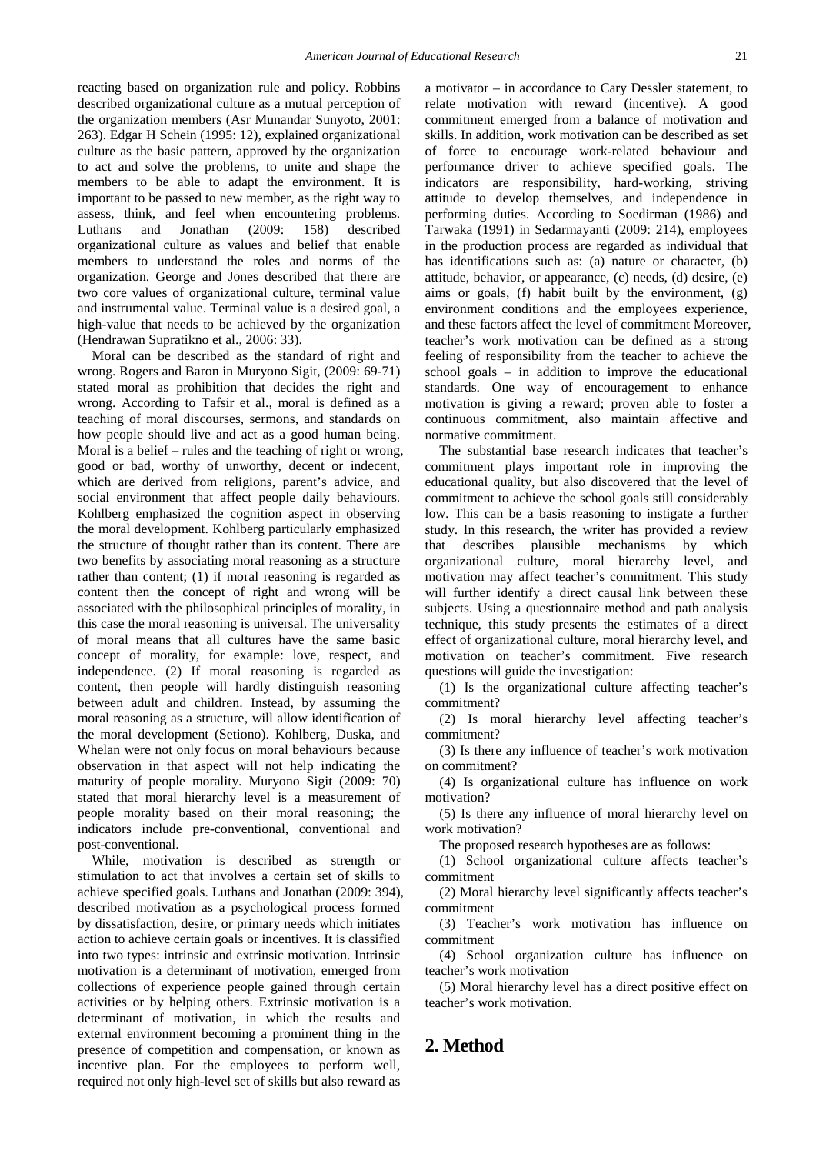reacting based on organization rule and policy. Robbins described organizational culture as a mutual perception of the organization members (Asr Munandar Sunyoto, 2001: 263). Edgar H Schein (1995: 12), explained organizational culture as the basic pattern, approved by the organization to act and solve the problems, to unite and shape the members to be able to adapt the environment. It is important to be passed to new member, as the right way to assess, think, and feel when encountering problems. Luthans and Jonathan (2009: 158) described organizational culture as values and belief that enable members to understand the roles and norms of the organization. George and Jones described that there are two core values of organizational culture, terminal value and instrumental value. Terminal value is a desired goal, a high-value that needs to be achieved by the organization (Hendrawan Supratikno et al., 2006: 33).

Moral can be described as the standard of right and wrong. Rogers and Baron in Muryono Sigit, (2009: 69-71) stated moral as prohibition that decides the right and wrong. According to Tafsir et al., moral is defined as a teaching of moral discourses, sermons, and standards on how people should live and act as a good human being. Moral is a belief – rules and the teaching of right or wrong, good or bad, worthy of unworthy, decent or indecent, which are derived from religions, parent's advice, and social environment that affect people daily behaviours. Kohlberg emphasized the cognition aspect in observing the moral development. Kohlberg particularly emphasized the structure of thought rather than its content. There are two benefits by associating moral reasoning as a structure rather than content; (1) if moral reasoning is regarded as content then the concept of right and wrong will be associated with the philosophical principles of morality, in this case the moral reasoning is universal. The universality of moral means that all cultures have the same basic concept of morality, for example: love, respect, and independence. (2) If moral reasoning is regarded as content, then people will hardly distinguish reasoning between adult and children. Instead, by assuming the moral reasoning as a structure, will allow identification of the moral development (Setiono). Kohlberg, Duska, and Whelan were not only focus on moral behaviours because observation in that aspect will not help indicating the maturity of people morality. Muryono Sigit (2009: 70) stated that moral hierarchy level is a measurement of people morality based on their moral reasoning; the indicators include pre-conventional, conventional and post-conventional.

While, motivation is described as strength or stimulation to act that involves a certain set of skills to achieve specified goals. Luthans and Jonathan (2009: 394), described motivation as a psychological process formed by dissatisfaction, desire, or primary needs which initiates action to achieve certain goals or incentives. It is classified into two types: intrinsic and extrinsic motivation. Intrinsic motivation is a determinant of motivation, emerged from collections of experience people gained through certain activities or by helping others. Extrinsic motivation is a determinant of motivation, in which the results and external environment becoming a prominent thing in the presence of competition and compensation, or known as incentive plan. For the employees to perform well, required not only high-level set of skills but also reward as

a motivator – in accordance to Cary Dessler statement, to relate motivation with reward (incentive). A good commitment emerged from a balance of motivation and skills. In addition, work motivation can be described as set of force to encourage work-related behaviour and performance driver to achieve specified goals. The indicators are responsibility, hard-working, striving attitude to develop themselves, and independence in performing duties. According to Soedirman (1986) and Tarwaka (1991) in Sedarmayanti (2009: 214), employees in the production process are regarded as individual that has identifications such as: (a) nature or character, (b) attitude, behavior, or appearance, (c) needs, (d) desire, (e) aims or goals, (f) habit built by the environment, (g) environment conditions and the employees experience, and these factors affect the level of commitment Moreover, teacher's work motivation can be defined as a strong feeling of responsibility from the teacher to achieve the school goals – in addition to improve the educational standards. One way of encouragement to enhance motivation is giving a reward; proven able to foster a continuous commitment, also maintain affective and normative commitment.

The substantial base research indicates that teacher's commitment plays important role in improving the educational quality, but also discovered that the level of commitment to achieve the school goals still considerably low. This can be a basis reasoning to instigate a further study. In this research, the writer has provided a review that describes plausible mechanisms by which organizational culture, moral hierarchy level, and motivation may affect teacher's commitment. This study will further identify a direct causal link between these subjects. Using a questionnaire method and path analysis technique, this study presents the estimates of a direct effect of organizational culture, moral hierarchy level, and motivation on teacher's commitment. Five research questions will guide the investigation:

(1) Is the organizational culture affecting teacher's commitment?

(2) Is moral hierarchy level affecting teacher's commitment?

(3) Is there any influence of teacher's work motivation on commitment?

(4) Is organizational culture has influence on work motivation?

(5) Is there any influence of moral hierarchy level on work motivation?

The proposed research hypotheses are as follows:

(1) School organizational culture affects teacher's commitment

(2) Moral hierarchy level significantly affects teacher's commitment

(3) Teacher's work motivation has influence on commitment

(4) School organization culture has influence on teacher's work motivation

(5) Moral hierarchy level has a direct positive effect on teacher's work motivation.

# **2. Method**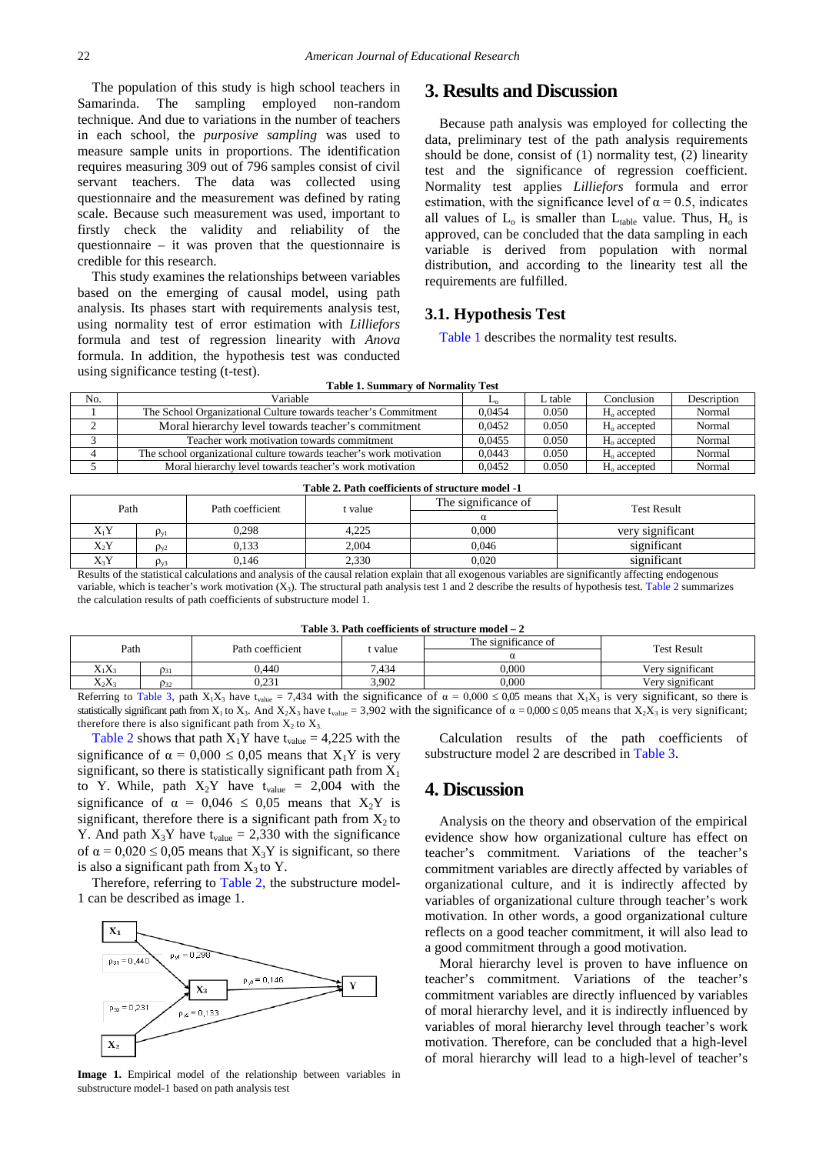The population of this study is high school teachers in Samarinda. The sampling employed non-random technique. And due to variations in the number of teachers in each school, the *purposive sampling* was used to measure sample units in proportions. The identification requires measuring 309 out of 796 samples consist of civil servant teachers. The data was collected using questionnaire and the measurement was defined by rating scale. Because such measurement was used, important to firstly check the validity and reliability of the questionnaire – it was proven that the questionnaire is credible for this research.

This study examines the relationships between variables based on the emerging of causal model, using path analysis. Its phases start with requirements analysis test, using normality test of error estimation with *Lilliefors*  formula and test of regression linearity with *Anova* formula. In addition, the hypothesis test was conducted using significance testing (t-test). **Table 1. Summary of Normality Test**

## **3. Results and Discussion**

Because path analysis was employed for collecting the data, preliminary test of the path analysis requirements should be done, consist of (1) normality test, (2) linearity test and the significance of regression coefficient. Normality test applies *Lilliefors* formula and error estimation, with the significance level of  $\alpha = 0.5$ , indicates all values of  $L_0$  is smaller than  $L_{table}$  value. Thus,  $H_0$  is approved, can be concluded that the data sampling in each variable is derived from population with normal distribution, and according to the linearity test all the requirements are fulfilled.

#### **3.1. Hypothesis Test**

[Table 1](#page-2-0) describes the normality test results.

<span id="page-2-0"></span>

| 0.0454<br>The School Organizational Culture towards teacher's Commitment<br>0.050<br>Normal<br>$Ho$ accepted<br>Moral hierarchy level towards teacher's commitment<br>0.0452<br>Normal<br>0.050<br>$Ho$ accepted<br>Teacher work motivation towards commitment<br>0.0455<br>0.050<br>Normal<br>$Ho$ accepted<br>0.0443<br>Normal<br>0.050<br>The school organizational culture towards teacher's work motivation<br>$H_0$ accepted | No. | Variable                                                | ഛ      | L table | Conclusion              | Description |
|------------------------------------------------------------------------------------------------------------------------------------------------------------------------------------------------------------------------------------------------------------------------------------------------------------------------------------------------------------------------------------------------------------------------------------|-----|---------------------------------------------------------|--------|---------|-------------------------|-------------|
|                                                                                                                                                                                                                                                                                                                                                                                                                                    |     |                                                         |        |         |                         |             |
|                                                                                                                                                                                                                                                                                                                                                                                                                                    |     |                                                         |        |         |                         |             |
|                                                                                                                                                                                                                                                                                                                                                                                                                                    |     |                                                         |        |         |                         |             |
|                                                                                                                                                                                                                                                                                                                                                                                                                                    |     |                                                         |        |         |                         |             |
|                                                                                                                                                                                                                                                                                                                                                                                                                                    |     | Moral hierarchy level towards teacher's work motivation | 0.0452 | 0.050   | H <sub>o</sub> accepted | Normal      |

<span id="page-2-1"></span>

| Table 2. Path coefficients of structure model -1 |                    |                  |         |                     |                    |
|--------------------------------------------------|--------------------|------------------|---------|---------------------|--------------------|
| Path                                             |                    | Path coefficient | t value | The significance of | <b>Test Result</b> |
|                                                  |                    |                  |         |                     |                    |
| $X_1Y$                                           | $\rho_{\rm vl}$    | 0.298            | 4,225   | 0.000               | very significant   |
| $X_2Y$                                           | $\rho_{\rm v2}$    | 0.133            | 2.004   | 0.046               | significant        |
| $X_3Y$                                           | $\rho_{\text{y3}}$ | 0,146            | 2,330   | 0.020               | significant        |

Results of the statistical calculations and analysis of the causal relation explain that all exogenous variables are significantly affecting endogenous variable, which is teacher's work motivation  $(X_3)$ . The structural path analysis test 1 and 2 describe the results of hypothesis test[. Table 2](#page-2-1) summarizes the calculation results of path coefficients of substructure model 1.

|  | Table 3. Path coefficients of structure model $-2$ |
|--|----------------------------------------------------|
|--|----------------------------------------------------|

<span id="page-2-2"></span>

| Path             |             | Path coefficient                                                 | value          | The significance of     | <b>Test Result</b> |  |
|------------------|-------------|------------------------------------------------------------------|----------------|-------------------------|--------------------|--|
|                  |             |                                                                  |                |                         |                    |  |
| $X_1X_3$         | $\rho_{31}$ | ).440                                                            | 7,434          | 0.000                   | Very significant   |  |
| $X_2X_3$         | $\rho_{32}$ | ገ 231<br>J.231                                                   | 3,902          | 0.000                   | Very significant   |  |
| may mis a system |             | 1.1.1<br>$-1$<br>the contract of the contract of the contract of | $\cdot$ $\sim$ | $0.000 \cdot 0.07$<br>. | $\cdot$ $\sim$     |  |

Referring to [Table 3,](#page-2-2) path  $X_1X_3$  have t<sub>value</sub> = 7,434 with the significance of  $\alpha = 0.000 \le 0.05$  means that  $X_1X_3$  is very significant, so there is statistically significant path from  $X_1$  to  $X_3$ . And  $X_2X_3$  have t<sub>value</sub> = 3,902 with the significance of  $\alpha = 0,000 \le 0,05$  means that  $X_2X_3$  is very significant; therefore there is also significant path from  $X_2$  to  $X_3$ .

[Table 2](#page-2-1) shows that path  $X_1Y$  have t<sub>value</sub> = 4,225 with the significance of  $\alpha = 0.000 \le 0.05$  means that  $X_1Y$  is very significant, so there is statistically significant path from  $X_1$ to Y. While, path  $X_2Y$  have  $t_{value} = 2,004$  with the significance of  $\alpha = 0.046 \le 0.05$  means that  $X_2Y$  is significant, therefore there is a significant path from  $X_2$  to Y. And path  $X_3Y$  have t<sub>value</sub> = 2,330 with the significance of  $\alpha = 0.020 \le 0.05$  means that  $X_3Y$  is significant, so there is also a significant path from  $X_3$  to Y.

Therefore, referring to [Table 2,](#page-2-1) the substructure model-1 can be described as image 1.



**Image 1.** Empirical model of the relationship between variables in substructure model-1 based on path analysis test

Calculation results of the path coefficients of substructure model 2 are described in [Table 3.](#page-2-2)

## **4. Discussion**

Analysis on the theory and observation of the empirical evidence show how organizational culture has effect on teacher's commitment. Variations of the teacher's commitment variables are directly affected by variables of organizational culture, and it is indirectly affected by variables of organizational culture through teacher's work motivation. In other words, a good organizational culture reflects on a good teacher commitment, it will also lead to a good commitment through a good motivation.

Moral hierarchy level is proven to have influence on teacher's commitment. Variations of the teacher's commitment variables are directly influenced by variables of moral hierarchy level, and it is indirectly influenced by variables of moral hierarchy level through teacher's work motivation. Therefore, can be concluded that a high-level of moral hierarchy will lead to a high-level of teacher's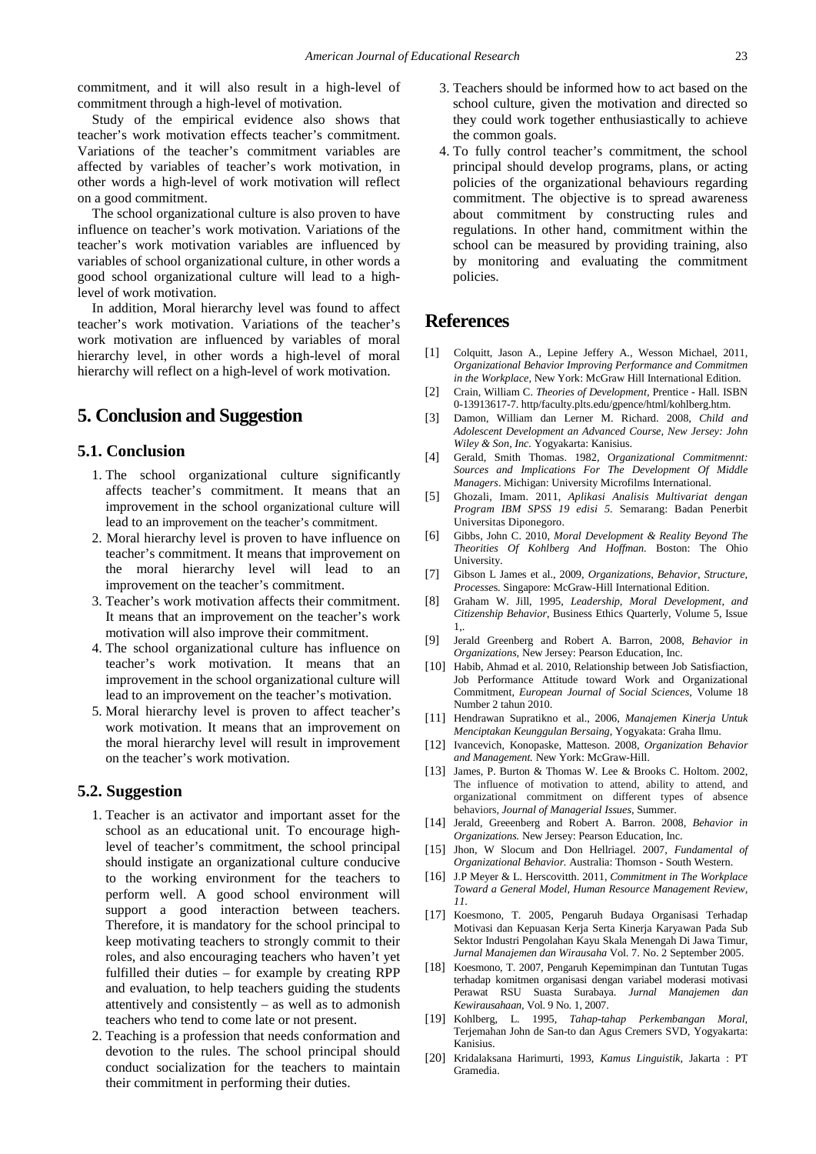commitment, and it will also result in a high-level of commitment through a high-level of motivation.

Study of the empirical evidence also shows that teacher's work motivation effects teacher's commitment. Variations of the teacher's commitment variables are affected by variables of teacher's work motivation, in other words a high-level of work motivation will reflect on a good commitment.

The school organizational culture is also proven to have influence on teacher's work motivation. Variations of the teacher's work motivation variables are influenced by variables of school organizational culture, in other words a good school organizational culture will lead to a highlevel of work motivation.

In addition, Moral hierarchy level was found to affect teacher's work motivation. Variations of the teacher's work motivation are influenced by variables of moral hierarchy level, in other words a high-level of moral hierarchy will reflect on a high-level of work motivation.

# **5. Conclusion and Suggestion**

### **5.1. Conclusion**

- 1. The school organizational culture significantly affects teacher's commitment. It means that an improvement in the school organizational culture will lead to an improvement on the teacher's commitment.
- 2. Moral hierarchy level is proven to have influence on teacher's commitment. It means that improvement on the moral hierarchy level will lead to improvement on the teacher's commitment.
- 3. Teacher's work motivation affects their commitment. It means that an improvement on the teacher's work motivation will also improve their commitment.
- 4. The school organizational culture has influence on teacher's work motivation. It means that an improvement in the school organizational culture will lead to an improvement on the teacher's motivation.
- 5. Moral hierarchy level is proven to affect teacher's work motivation. It means that an improvement on the moral hierarchy level will result in improvement on the teacher's work motivation.

#### **5.2. Suggestion**

- 1. Teacher is an activator and important asset for the school as an educational unit. To encourage highlevel of teacher's commitment, the school principal should instigate an organizational culture conducive to the working environment for the teachers to perform well. A good school environment will support a good interaction between teachers. Therefore, it is mandatory for the school principal to keep motivating teachers to strongly commit to their roles, and also encouraging teachers who haven't yet fulfilled their duties – for example by creating RPP and evaluation, to help teachers guiding the students attentively and consistently – as well as to admonish teachers who tend to come late or not present.
- 2. Teaching is a profession that needs conformation and devotion to the rules. The school principal should conduct socialization for the teachers to maintain their commitment in performing their duties.
- 3. Teachers should be informed how to act based on the school culture, given the motivation and directed so they could work together enthusiastically to achieve the common goals.
- 4. To fully control teacher's commitment, the school principal should develop programs, plans, or acting policies of the organizational behaviours regarding commitment. The objective is to spread awareness about commitment by constructing rules and regulations. In other hand, commitment within the school can be measured by providing training, also by monitoring and evaluating the commitment policies.

## **References**

- [1] Colquitt, Jason A., Lepine Jeffery A., Wesson Michael, 2011, *Organizational Behavior Improving Performance and Commitmen in the Workplace,* New York: McGraw Hill International Edition.
- [2] Crain, William C. *Theories of Development,* Prentice Hall. ISBN 0-13913617-7. http/faculty.plts.edu/gpence/html/kohlberg.htm.
- [3] Damon, William dan Lerner M. Richard. 2008, *Child and Adolescent Development an Advanced Course, New Jersey: John Wiley & Son, Inc.* Yogyakarta: Kanisius.
- [4] Gerald, Smith Thomas. 1982, O*rganizational Commitmennt: Sources and Implications For The Development Of Middle Managers*. Michigan: University Microfilms International.
- [5] Ghozali, Imam. 2011, *Aplikasi Analisis Multivariat dengan Program IBM SPSS 19 edisi 5.* Semarang: Badan Penerbit Universitas Diponegoro.
- [6] Gibbs, John C. 2010, *Moral Development & Reality Beyond The Theorities Of Kohlberg And Hoffman.* Boston: The Ohio University.
- [7] Gibson L James et al., 2009, *Organizations, Behavior, Structure, Processe*s. Singapore: McGraw-Hill International Edition.
- [8] Graham W. Jill, 1995, *Leadership, Moral Development, and Citizenship Behavior*, Business Ethics Quarterly, Volume 5, Issue 1,.
- [9] Jerald Greenberg and Robert A. Barron, 2008, *Behavior in Organizations,* New Jersey: Pearson Education, Inc.
- [10] Habib, Ahmad et al. 2010, Relationship between Job Satisfiaction, Job Performance Attitude toward Work and Organizational Commitment, *European Journal of Social Sciences*, Volume 18 Number 2 tahun 2010.
- [11] Hendrawan Supratikno et al., 2006, *Manajemen Kinerja Untuk Menciptakan Keunggulan Bersaing*, Yogyakata: Graha Ilmu.
- [12] Ivancevich, Konopaske, Matteson. 2008, *Organization Behavior and Management.* New York: McGraw-Hill.
- [13] James, P. Burton & Thomas W. Lee & Brooks C. Holtom. 2002, The influence of motivation to attend, ability to attend, and organizational commitment on different types of absence behaviors*, Journal of Managerial Issues*, Summer.
- [14] Jerald, Greeenberg and Robert A. Barron. 2008, *Behavior in Organizations.* New Jersey: Pearson Education, Inc.
- [15] Jhon, W Slocum and Don Hellriagel. 2007, *Fundamental of Organizational Behavior.* Australia: Thomson - South Western.
- [16] J.P Meyer & L. Herscovitth. 2011, *Commitment in The Workplace Toward a General Model, Human Resource Management Review, 11*.
- [17] Koesmono, T. 2005, Pengaruh Budaya Organisasi Terhadap Motivasi dan Kepuasan Kerja Serta Kinerja Karyawan Pada Sub Sektor Industri Pengolahan Kayu Skala Menengah Di Jawa Timur, *Jurnal Manajemen dan Wirausaha* Vol. 7. No. 2 September 2005.
- [18] Koesmono, T. 2007, Pengaruh Kepemimpinan dan Tuntutan Tugas terhadap komitmen organisasi dengan variabel moderasi motivasi Perawat RSU Suasta Surabaya. *Jurnal Manajemen dan Kewirausahaan,* Vol. 9 No. 1, 2007.
- [19] Kohlberg, L. 1995, *Tahap-tahap Perkembangan Moral,*  Terjemahan John de San-to dan Agus Cremers SVD*,* Yogyakarta: Kanisius.
- [20] Kridalaksana Harimurti, 1993, *Kamus Linguistik,* Jakarta : PT Gramedia.